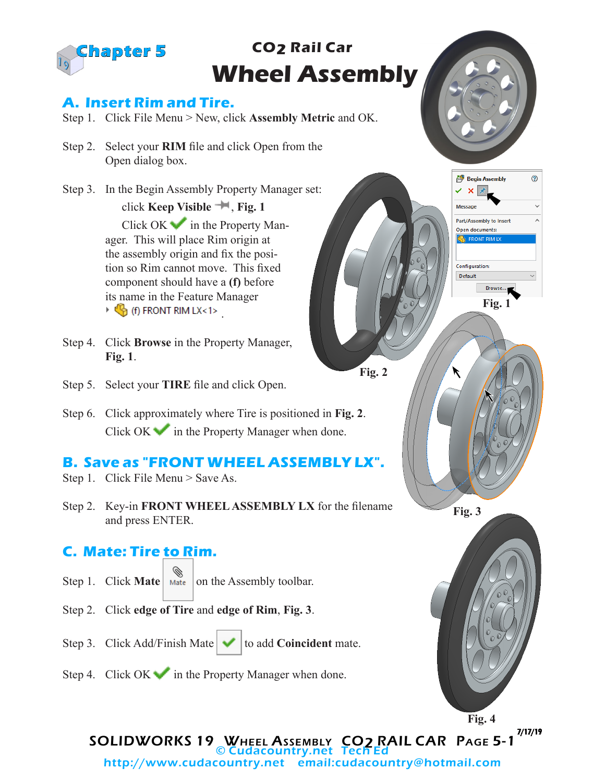

# **CO2 Rail Car Wheel Assembly**

### **A. Insert Rim and Tire.**

- Step 1. Click File Menu > New, click **Assembly Metric** and OK.
- Step 2. Select your **RIM** file and click Open from the Open dialog box.
- Step 3. In the Begin Assembly Property Manager set: click **Keep Visible** , **Fig. 1**

Click  $OK$  in the Property Manager. This will place Rim origin at the assembly origin and fix the position so Rim cannot move. This fixed component should have a **(f)** before its name in the Feature Manager  $\triangleright$   $\mathbb{C}$  (f) FRONT RIM LX<1>

- Step 4. Click **Browse** in the Property Manager, **Fig. 1**.
- Step 5. Select your **TIRE** file and click Open.
- Step 6. Click approximately where Tire is positioned in **Fig. 2**. Click OK  $\bullet$  in the Property Manager when done.

#### **B. Save as "FRONT WHEEL ASSEMBLY LX".**

- Step 1. Click File Menu > Save As.
- Step 2. Key-in **FRONT WHEEL ASSEMBLY LX** for the filename and press ENTER.

## **C. Mate: Tire to Rim.**

- Step 1. Click **Mate Mate** on the Assembly toolbar.
- Step 2. Click **edge of Tire** and **edge of Rim**, **Fig. 3**.
- Step 3. Click Add/Finish Mate  $\blacktriangleright$  to add **Coincident** mate.



Step 4. Click  $OK \rightarrow \infty$  in the Property Manager when done.







SOLIDWORKS 19 WHEEL ASSEMBLY CO2 RAIL CAR PAGE 5-1 7/17/19 http://www.cudacountry.net email:cudacountry@hotmail.com